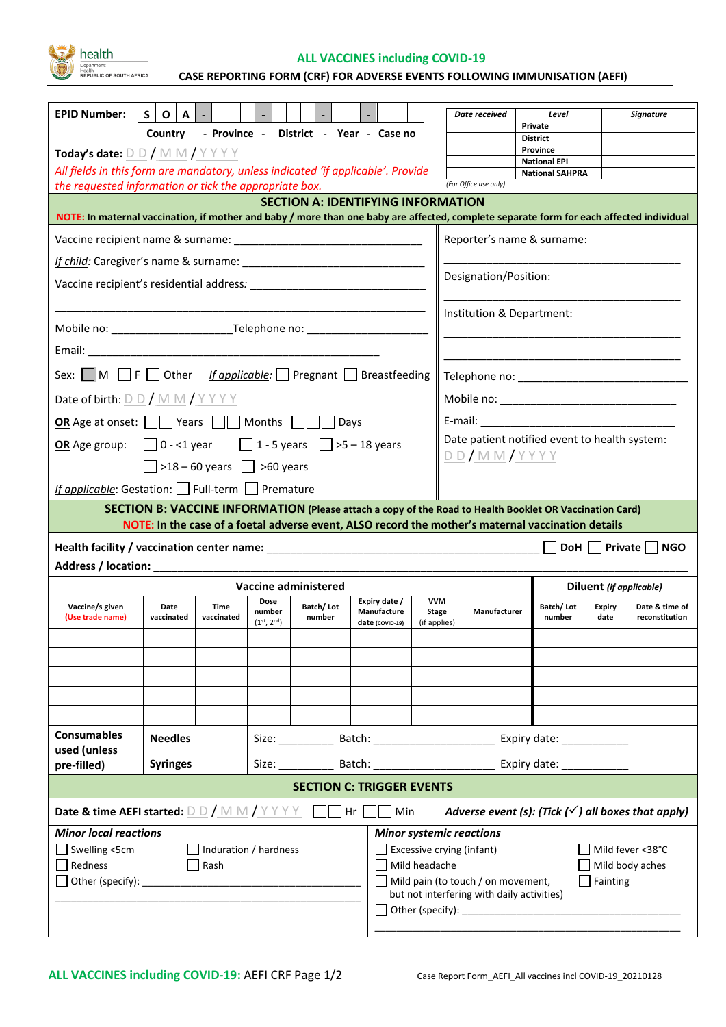health

**ALL VACCINES including COVID-19**

**ILIC OF SOUTH AFRICA** CASE REPORTING FORM (CRF) FOR ADVERSE EVENTS FOLLOWING IMMUNISATION (AEFI)

| <b>EPID Number:</b>                                                                                                                                                                                                                         | $S$   O<br>A I                                                                                     |                                        |                                      |                      |                                                 |                                     | Date received                                                                                                                                                                                                                  | Level                                         |                         | Signature                        |  |
|---------------------------------------------------------------------------------------------------------------------------------------------------------------------------------------------------------------------------------------------|----------------------------------------------------------------------------------------------------|----------------------------------------|--------------------------------------|----------------------|-------------------------------------------------|-------------------------------------|--------------------------------------------------------------------------------------------------------------------------------------------------------------------------------------------------------------------------------|-----------------------------------------------|-------------------------|----------------------------------|--|
|                                                                                                                                                                                                                                             | Country                                                                                            |                                        |                                      |                      | - Province - District - Year - Case no          |                                     |                                                                                                                                                                                                                                | Private<br><b>District</b>                    |                         |                                  |  |
| Today's date: $D D / M M / Y Y Y Y$                                                                                                                                                                                                         |                                                                                                    |                                        |                                      |                      |                                                 |                                     |                                                                                                                                                                                                                                | Province                                      |                         |                                  |  |
| All fields in this form are mandatory, unless indicated 'if applicable'. Provide                                                                                                                                                            |                                                                                                    |                                        |                                      |                      |                                                 |                                     |                                                                                                                                                                                                                                | <b>National EPI</b><br><b>National SAHPRA</b> |                         |                                  |  |
| the requested information or tick the appropriate box.                                                                                                                                                                                      |                                                                                                    |                                        |                                      |                      |                                                 |                                     | (For Office use only)                                                                                                                                                                                                          |                                               |                         |                                  |  |
| <b>SECTION A: IDENTIFYING INFORMATION</b><br>NOTE: In maternal vaccination, if mother and baby / more than one baby are affected, complete separate form for each affected individual                                                       |                                                                                                    |                                        |                                      |                      |                                                 |                                     |                                                                                                                                                                                                                                |                                               |                         |                                  |  |
|                                                                                                                                                                                                                                             |                                                                                                    |                                        |                                      |                      |                                                 |                                     | Reporter's name & surname:                                                                                                                                                                                                     |                                               |                         |                                  |  |
|                                                                                                                                                                                                                                             |                                                                                                    |                                        |                                      |                      |                                                 |                                     |                                                                                                                                                                                                                                |                                               |                         |                                  |  |
|                                                                                                                                                                                                                                             |                                                                                                    |                                        |                                      |                      |                                                 |                                     | Designation/Position:                                                                                                                                                                                                          |                                               |                         |                                  |  |
|                                                                                                                                                                                                                                             |                                                                                                    |                                        |                                      |                      |                                                 |                                     | Institution & Department:                                                                                                                                                                                                      |                                               |                         |                                  |  |
|                                                                                                                                                                                                                                             |                                                                                                    |                                        |                                      |                      |                                                 |                                     |                                                                                                                                                                                                                                |                                               |                         |                                  |  |
|                                                                                                                                                                                                                                             |                                                                                                    |                                        |                                      |                      |                                                 |                                     |                                                                                                                                                                                                                                |                                               |                         |                                  |  |
| Sex: M F Other If applicable: Pregnant Breastfeeding                                                                                                                                                                                        |                                                                                                    |                                        |                                      |                      |                                                 |                                     |                                                                                                                                                                                                                                |                                               |                         |                                  |  |
| Date of birth: $D D / M M / Y Y Y$                                                                                                                                                                                                          |                                                                                                    |                                        |                                      |                      |                                                 |                                     |                                                                                                                                                                                                                                |                                               |                         |                                  |  |
| <b>OR</b> Age at onset: $\Box$ Years $\Box$ Months $\Box$ Days                                                                                                                                                                              |                                                                                                    |                                        |                                      |                      |                                                 |                                     | E-mail: Album and the contract of the contract of the contract of the contract of the contract of the contract of the contract of the contract of the contract of the contract of the contract of the contract of the contract |                                               |                         |                                  |  |
| <b>OR</b> Age group: $\begin{bmatrix} 0 & -1 \\ 0 & -1 \end{bmatrix}$ vear $\begin{bmatrix} 1 & -5 \\ 1 & -5 \end{bmatrix}$ >5 - 18 years                                                                                                   |                                                                                                    |                                        |                                      |                      |                                                 |                                     | Date patient notified event to health system:<br><u>DD/MM/YYYY</u>                                                                                                                                                             |                                               |                         |                                  |  |
|                                                                                                                                                                                                                                             |                                                                                                    | $\Box$ >18 – 60 years $\Box$ >60 years |                                      |                      |                                                 |                                     |                                                                                                                                                                                                                                |                                               |                         |                                  |  |
| If applicable: Gestation: Full-term Premature                                                                                                                                                                                               |                                                                                                    |                                        |                                      |                      |                                                 |                                     |                                                                                                                                                                                                                                |                                               |                         |                                  |  |
|                                                                                                                                                                                                                                             |                                                                                                    |                                        |                                      |                      |                                                 |                                     | SECTION B: VACCINE INFORMATION (Please attach a copy of the Road to Health Booklet OR Vaccination Card)                                                                                                                        |                                               |                         |                                  |  |
|                                                                                                                                                                                                                                             | NOTE: In the case of a foetal adverse event, ALSO record the mother's maternal vaccination details |                                        |                                      |                      |                                                 |                                     |                                                                                                                                                                                                                                |                                               |                         |                                  |  |
| DoH     Private  <br><b>NGO</b>                                                                                                                                                                                                             |                                                                                                    |                                        |                                      |                      |                                                 |                                     |                                                                                                                                                                                                                                |                                               |                         |                                  |  |
|                                                                                                                                                                                                                                             |                                                                                                    |                                        |                                      |                      |                                                 |                                     |                                                                                                                                                                                                                                |                                               |                         |                                  |  |
| Address / location: _____________                                                                                                                                                                                                           |                                                                                                    |                                        |                                      |                      |                                                 |                                     |                                                                                                                                                                                                                                |                                               |                         |                                  |  |
|                                                                                                                                                                                                                                             |                                                                                                    |                                        |                                      | Vaccine administered |                                                 |                                     |                                                                                                                                                                                                                                |                                               | Diluent (if applicable) |                                  |  |
| Vaccine/s given<br>(Use trade name)                                                                                                                                                                                                         | Date<br>vaccinated                                                                                 | Time<br>vaccinated                     | Dose<br>number<br>$(1^{st}, 2^{nd})$ | Batch/Lot<br>number  | Expiry date /<br>Manufacture<br>date (COVID-19) | <b>VVM</b><br>Stage<br>(if applies) | Manufacturer                                                                                                                                                                                                                   | Batch/Lot<br>number                           | Expiry<br>date          | Date & time of<br>reconstitution |  |
|                                                                                                                                                                                                                                             |                                                                                                    |                                        |                                      |                      |                                                 |                                     |                                                                                                                                                                                                                                |                                               |                         |                                  |  |
|                                                                                                                                                                                                                                             |                                                                                                    |                                        |                                      |                      |                                                 |                                     |                                                                                                                                                                                                                                |                                               |                         |                                  |  |
|                                                                                                                                                                                                                                             |                                                                                                    |                                        |                                      |                      |                                                 |                                     |                                                                                                                                                                                                                                |                                               |                         |                                  |  |
|                                                                                                                                                                                                                                             |                                                                                                    |                                        |                                      |                      |                                                 |                                     |                                                                                                                                                                                                                                |                                               |                         |                                  |  |
|                                                                                                                                                                                                                                             |                                                                                                    |                                        |                                      |                      |                                                 |                                     |                                                                                                                                                                                                                                |                                               |                         |                                  |  |
| <b>Consumables</b><br>used (unless                                                                                                                                                                                                          | <b>Needles</b>                                                                                     |                                        |                                      |                      |                                                 |                                     |                                                                                                                                                                                                                                |                                               |                         |                                  |  |
| pre-filled)                                                                                                                                                                                                                                 | <b>Syringes</b>                                                                                    |                                        |                                      |                      |                                                 |                                     | Size: Batch: Batch: Expiry date:                                                                                                                                                                                               |                                               |                         |                                  |  |
|                                                                                                                                                                                                                                             |                                                                                                    |                                        |                                      |                      | <b>SECTION C: TRIGGER EVENTS</b>                |                                     |                                                                                                                                                                                                                                |                                               |                         |                                  |  |
| <b>Date &amp; time AEFI started:</b> $\underline{\mathsf{D}}\underline{\mathsf{D}}$ / $\underline{\mathsf{M}}\underline{\mathsf{M}}$ / $\underline{\mathsf{Y}}\underline{\mathsf{Y}}\underline{\mathsf{Y}}$ $\underline{\mathsf{M}}$ Hr $[$ |                                                                                                    |                                        |                                      |                      | ∥ ∣Min                                          |                                     | Adverse event (s): (Tick $(\checkmark)$ all boxes that apply)                                                                                                                                                                  |                                               |                         |                                  |  |
| <b>Minor local reactions</b>                                                                                                                                                                                                                |                                                                                                    |                                        |                                      |                      |                                                 |                                     | <b>Minor systemic reactions</b>                                                                                                                                                                                                |                                               |                         |                                  |  |
| Swelling <5cm                                                                                                                                                                                                                               |                                                                                                    | Induration / hardness                  |                                      |                      |                                                 |                                     | Excessive crying (infant)                                                                                                                                                                                                      |                                               |                         | Mild fever <38°C                 |  |
| Redness                                                                                                                                                                                                                                     |                                                                                                    | Rash                                   |                                      |                      |                                                 | Mild headache                       | $\Box$ Mild pain (to touch / on movement,                                                                                                                                                                                      |                                               | Fainting                | Mild body aches                  |  |
|                                                                                                                                                                                                                                             |                                                                                                    |                                        |                                      |                      |                                                 |                                     | but not interfering with daily activities)                                                                                                                                                                                     |                                               |                         |                                  |  |
|                                                                                                                                                                                                                                             |                                                                                                    |                                        |                                      |                      |                                                 |                                     |                                                                                                                                                                                                                                |                                               |                         |                                  |  |